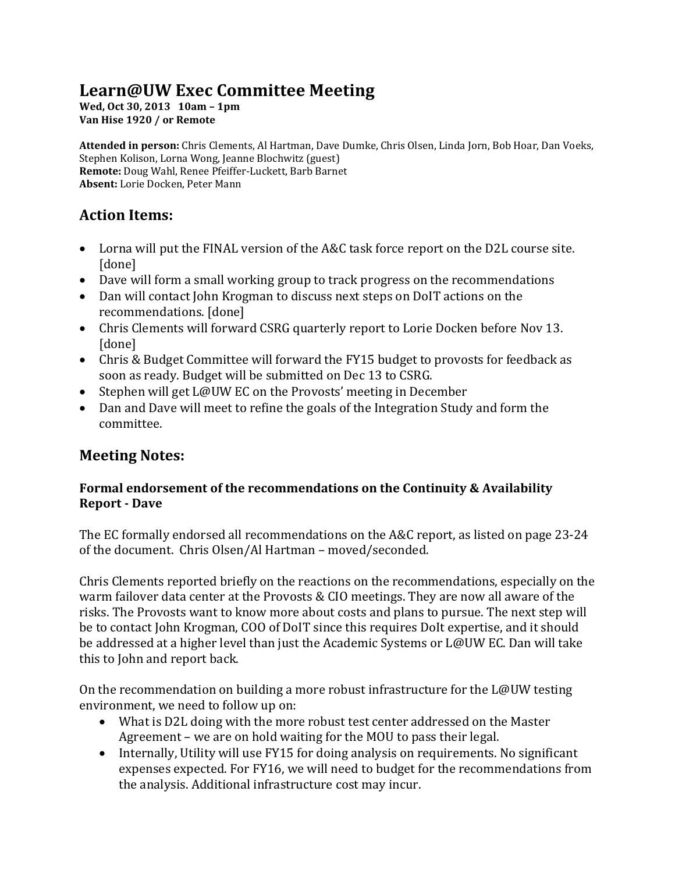# **Learn@UW Exec Committee Meeting**

**Wed, Oct 30, 2013 10am – 1pm Van Hise 1920 / or Remote**

**Attended in person:** Chris Clements, Al Hartman, Dave Dumke, Chris Olsen, Linda Jorn, Bob Hoar, Dan Voeks, Stephen Kolison, Lorna Wong, Jeanne Blochwitz (guest) **Remote:** Doug Wahl, Renee Pfeiffer-Luckett, Barb Barnet **Absent:** Lorie Docken, Peter Mann

## **Action Items:**

- Lorna will put the FINAL version of the A&C task force report on the D2L course site. [done]
- Dave will form a small working group to track progress on the recommendations
- Dan will contact John Krogman to discuss next steps on DoIT actions on the recommendations. [done]
- Chris Clements will forward CSRG quarterly report to Lorie Docken before Nov 13. [done]
- Chris & Budget Committee will forward the FY15 budget to provosts for feedback as soon as ready. Budget will be submitted on Dec 13 to CSRG.
- Stephen will get L@UW EC on the Provosts' meeting in December
- Dan and Dave will meet to refine the goals of the Integration Study and form the committee.

## **Meeting Notes:**

## **Formal endorsement of the recommendations on the Continuity & Availability Report - Dave**

The EC formally endorsed all recommendations on the A&C report, as listed on page 23-24 of the document. Chris Olsen/Al Hartman – moved/seconded.

Chris Clements reported briefly on the reactions on the recommendations, especially on the warm failover data center at the Provosts & CIO meetings. They are now all aware of the risks. The Provosts want to know more about costs and plans to pursue. The next step will be to contact John Krogman, COO of DoIT since this requires DoIt expertise, and it should be addressed at a higher level than just the Academic Systems or L@UW EC. Dan will take this to John and report back.

On the recommendation on building a more robust infrastructure for the L@UW testing environment, we need to follow up on:

- What is D2L doing with the more robust test center addressed on the Master Agreement – we are on hold waiting for the MOU to pass their legal.
- Internally, Utility will use FY15 for doing analysis on requirements. No significant expenses expected. For FY16, we will need to budget for the recommendations from the analysis. Additional infrastructure cost may incur.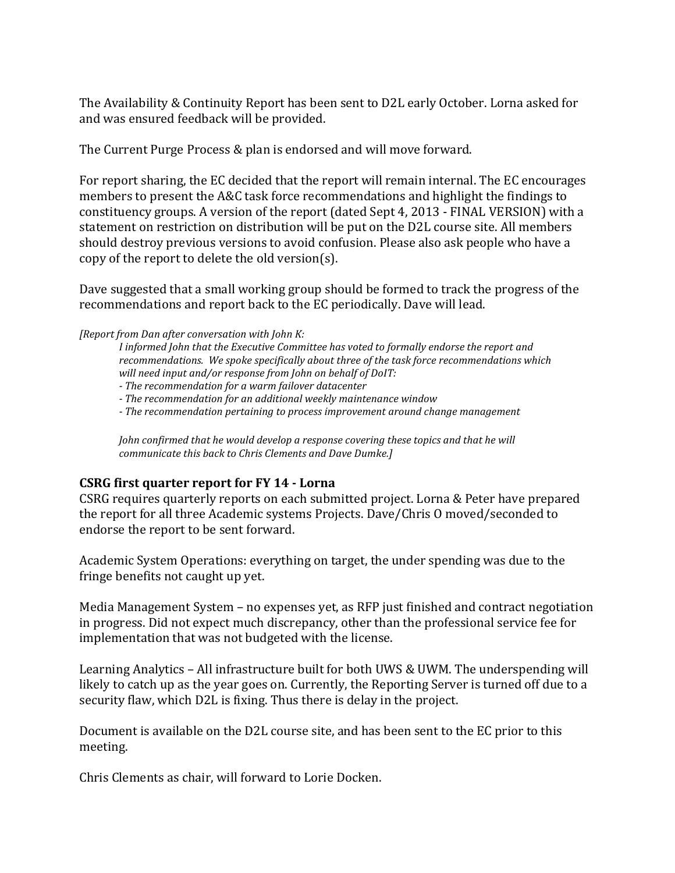The Availability & Continuity Report has been sent to D2L early October. Lorna asked for and was ensured feedback will be provided.

The Current Purge Process & plan is endorsed and will move forward.

For report sharing, the EC decided that the report will remain internal. The EC encourages members to present the A&C task force recommendations and highlight the findings to constituency groups. A version of the report (dated Sept 4, 2013 - FINAL VERSION) with a statement on restriction on distribution will be put on the D2L course site. All members should destroy previous versions to avoid confusion. Please also ask people who have a copy of the report to delete the old version(s).

Dave suggested that a small working group should be formed to track the progress of the recommendations and report back to the EC periodically. Dave will lead.

*[Report from Dan after conversation with John K:* 

*I informed John that the Executive Committee has voted to formally endorse the report and recommendations. We spoke specifically about three of the task force recommendations which will need input and/or response from John on behalf of DoIT:* 

*- The recommendation for a warm failover datacenter*

*- The recommendation for an additional weekly maintenance window*

*- The recommendation pertaining to process improvement around change management*

*John confirmed that he would develop a response covering these topics and that he will communicate this back to Chris Clements and Dave Dumke.]*

#### **CSRG first quarter report for FY 14 - Lorna**

CSRG requires quarterly reports on each submitted project. Lorna & Peter have prepared the report for all three Academic systems Projects. Dave/Chris O moved/seconded to endorse the report to be sent forward.

Academic System Operations: everything on target, the under spending was due to the fringe benefits not caught up yet.

Media Management System – no expenses yet, as RFP just finished and contract negotiation in progress. Did not expect much discrepancy, other than the professional service fee for implementation that was not budgeted with the license.

Learning Analytics – All infrastructure built for both UWS & UWM. The underspending will likely to catch up as the year goes on. Currently, the Reporting Server is turned off due to a security flaw, which D2L is fixing. Thus there is delay in the project.

Document is available on the D2L course site, and has been sent to the EC prior to this meeting.

Chris Clements as chair, will forward to Lorie Docken.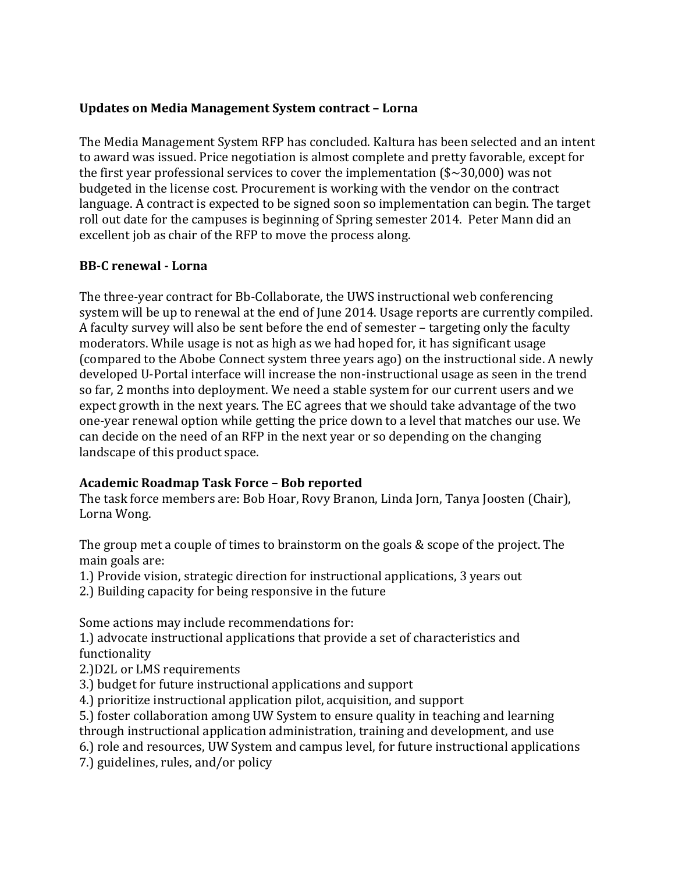## **Updates on Media Management System contract – Lorna**

The Media Management System RFP has concluded. Kaltura has been selected and an intent to award was issued. Price negotiation is almost complete and pretty favorable, except for the first year professional services to cover the implementation  $(*\sim30,000)$  was not budgeted in the license cost. Procurement is working with the vendor on the contract language. A contract is expected to be signed soon so implementation can begin. The target roll out date for the campuses is beginning of Spring semester 2014. Peter Mann did an excellent job as chair of the RFP to move the process along.

## **BB-C renewal - Lorna**

The three-year contract for Bb-Collaborate, the UWS instructional web conferencing system will be up to renewal at the end of June 2014. Usage reports are currently compiled. A faculty survey will also be sent before the end of semester – targeting only the faculty moderators. While usage is not as high as we had hoped for, it has significant usage (compared to the Abobe Connect system three years ago) on the instructional side. A newly developed U-Portal interface will increase the non-instructional usage as seen in the trend so far, 2 months into deployment. We need a stable system for our current users and we expect growth in the next years. The EC agrees that we should take advantage of the two one-year renewal option while getting the price down to a level that matches our use. We can decide on the need of an RFP in the next year or so depending on the changing landscape of this product space.

#### **Academic Roadmap Task Force – Bob reported**

The task force members are: Bob Hoar, Rovy Branon, Linda Jorn, Tanya Joosten (Chair), Lorna Wong.

The group met a couple of times to brainstorm on the goals & scope of the project. The main goals are:

1.) Provide vision, strategic direction for instructional applications, 3 years out

2.) Building capacity for being responsive in the future

Some actions may include recommendations for:

1.) advocate instructional applications that provide a set of characteristics and functionality

2.)D2L or LMS requirements

3.) budget for future instructional applications and support

4.) prioritize instructional application pilot, acquisition, and support

5.) foster collaboration among UW System to ensure quality in teaching and learning through instructional application administration, training and development, and use

6.) role and resources, UW System and campus level, for future instructional applications

7.) guidelines, rules, and/or policy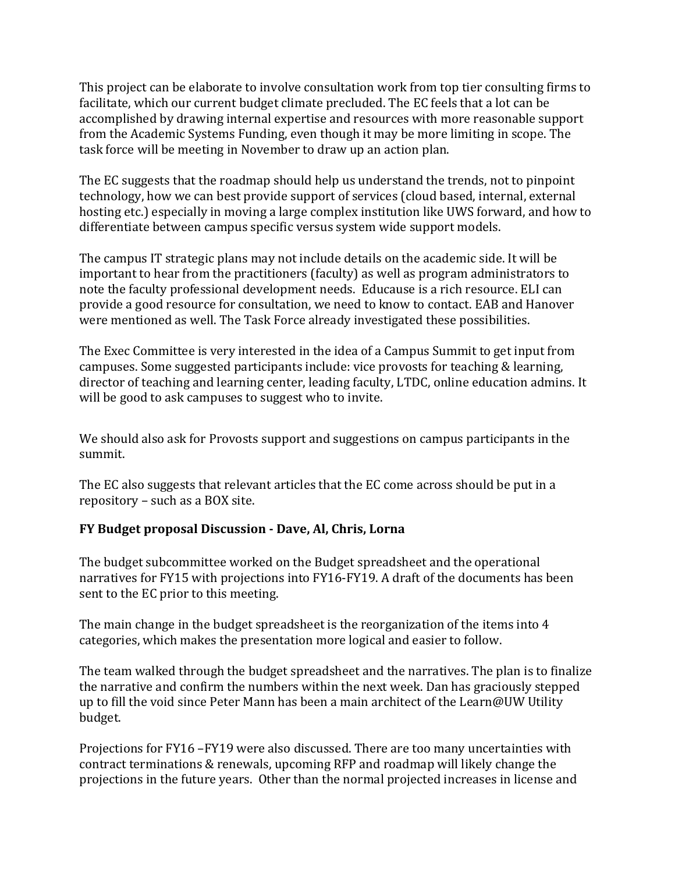This project can be elaborate to involve consultation work from top tier consulting firms to facilitate, which our current budget climate precluded. The EC feels that a lot can be accomplished by drawing internal expertise and resources with more reasonable support from the Academic Systems Funding, even though it may be more limiting in scope. The task force will be meeting in November to draw up an action plan.

The EC suggests that the roadmap should help us understand the trends, not to pinpoint technology, how we can best provide support of services (cloud based, internal, external hosting etc.) especially in moving a large complex institution like UWS forward, and how to differentiate between campus specific versus system wide support models.

The campus IT strategic plans may not include details on the academic side. It will be important to hear from the practitioners (faculty) as well as program administrators to note the faculty professional development needs. Educause is a rich resource. ELI can provide a good resource for consultation, we need to know to contact. EAB and Hanover were mentioned as well. The Task Force already investigated these possibilities.

The Exec Committee is very interested in the idea of a Campus Summit to get input from campuses. Some suggested participants include: vice provosts for teaching & learning, director of teaching and learning center, leading faculty, LTDC, online education admins. It will be good to ask campuses to suggest who to invite.

We should also ask for Provosts support and suggestions on campus participants in the summit.

The EC also suggests that relevant articles that the EC come across should be put in a repository – such as a BOX site.

## **FY Budget proposal Discussion - Dave, Al, Chris, Lorna**

The budget subcommittee worked on the Budget spreadsheet and the operational narratives for FY15 with projections into FY16-FY19. A draft of the documents has been sent to the EC prior to this meeting.

The main change in the budget spreadsheet is the reorganization of the items into 4 categories, which makes the presentation more logical and easier to follow.

The team walked through the budget spreadsheet and the narratives. The plan is to finalize the narrative and confirm the numbers within the next week. Dan has graciously stepped up to fill the void since Peter Mann has been a main architect of the Learn@UW Utility budget.

Projections for FY16 –FY19 were also discussed. There are too many uncertainties with contract terminations & renewals, upcoming RFP and roadmap will likely change the projections in the future years. Other than the normal projected increases in license and